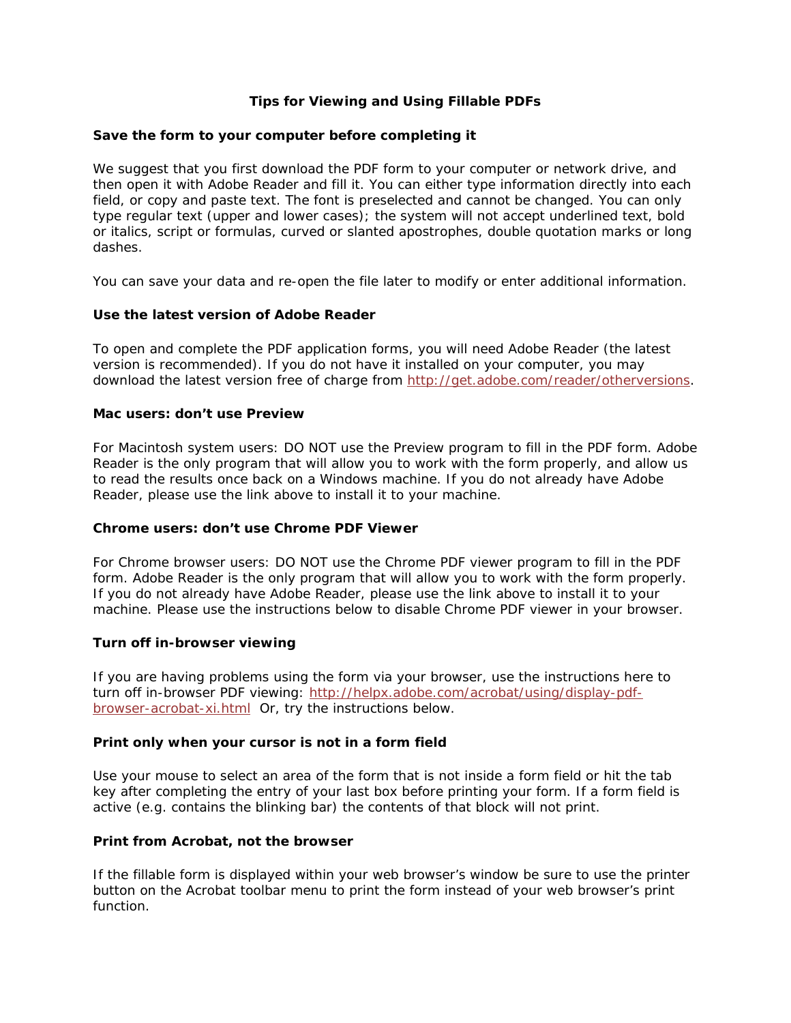## **Tips for Viewing and Using Fillable PDFs**

## **Save the form to your computer before completing it**

We suggest that you first download the PDF form to your computer or network drive, and then open it with Adobe Reader and fill it. You can either type information directly into each field, or copy and paste text. The font is preselected and cannot be changed. You can only type regular text (upper and lower cases); the system will not accept underlined text, bold or italics, script or formulas, curved or slanted apostrophes, double quotation marks or long dashes.

You can save your data and re-open the file later to modify or enter additional information.

## **Use the latest version of Adobe Reader**

To open and complete the PDF application forms, you will need Adobe Reader (the latest version is recommended). If you do not have it installed on your computer, you may download the latest version free of charge from [http://get.adobe.com/reader/otherversions.](http://get.adobe.com/reader/otherversions)

### **Mac users: don't use Preview**

For Macintosh system users: DO NOT use the Preview program to fill in the PDF form. Adobe Reader is the only program that will allow you to work with the form properly, and allow us to read the results once back on a Windows machine. If you do not already have Adobe Reader, please use the link above to install it to your machine.

### **Chrome users: don't use Chrome PDF Viewer**

For Chrome browser users: DO NOT use the Chrome PDF viewer program to fill in the PDF form. Adobe Reader is the only program that will allow you to work with the form properly. If you do not already have Adobe Reader, please use the link above to install it to your machine. Please use the instructions below to disable Chrome PDF viewer in your browser.

### **Turn off in-browser viewing**

If you are having problems using the form via your browser, use the instructions here to turn off in-browser PDF viewing: [http://helpx.adobe.com/acrobat/using/display-pdf](http://helpx.adobe.com/acrobat/using/display-pdf-browser-acrobat-xi.html)[browser-acrobat-xi.html](http://helpx.adobe.com/acrobat/using/display-pdf-browser-acrobat-xi.html) Or, try the instructions below.

### **Print only when your cursor is not in a form field**

Use your mouse to select an area of the form that is not inside a form field or hit the tab key after completing the entry of your last box before printing your form. If a form field is active (e.g. contains the blinking bar) the contents of that block will not print.

### **Print from Acrobat, not the browser**

If the fillable form is displayed within your web browser's window be sure to use the printer button on the Acrobat toolbar menu to print the form instead of your web browser's print function.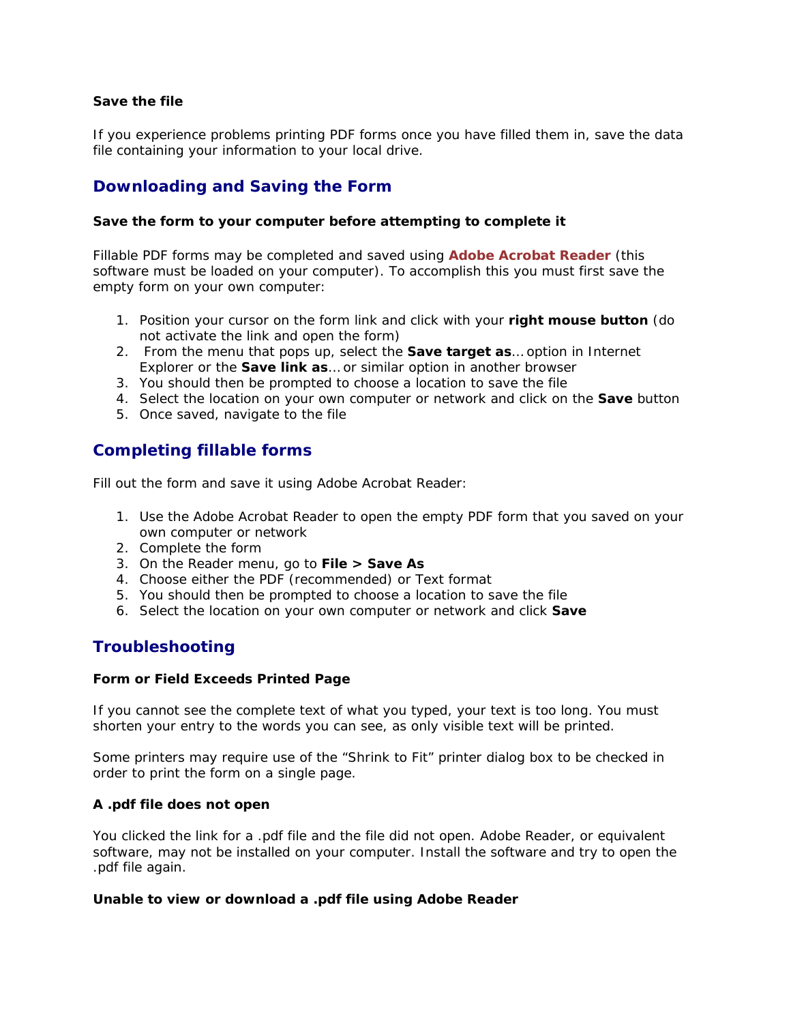## **Save the file**

If you experience problems printing PDF forms once you have filled them in, save the data file containing your information to your local drive.

# **Downloading and Saving the Form**

## **Save the form to your computer before attempting to complete it**

Fillable PDF forms may be completed and saved using **[Adobe Acrobat Reader](http://get.adobe.com/reader/otherversions/)** (this software must be loaded on your computer). To accomplish this you must first save the empty form on your own computer:

- 1. Position your cursor on the form link and click with your **right mouse button** (do not activate the link and open the form)
- 2. From the menu that pops up, select the **Save target as**… option in Internet Explorer or the **Save link as**… or similar option in another browser
- 3. You should then be prompted to choose a location to save the file
- 4. Select the location on your own computer or network and click on the **Save** button
- 5. Once saved, navigate to the file

# **Completing fillable forms**

Fill out the form and save it using Adobe Acrobat Reader:

- 1. Use the Adobe Acrobat Reader to open the empty PDF form that you saved on your own computer or network
- 2. Complete the form
- 3. On the Reader menu, go to **File > Save As**
- 4. Choose either the PDF (recommended) or Text format
- 5. You should then be prompted to choose a location to save the file
- 6. Select the location on your own computer or network and click **Save**

# **Troubleshooting**

### **Form or Field Exceeds Printed Page**

If you cannot see the complete text of what you typed, your text is too long. You must shorten your entry to the words you can see, as only visible text will be printed.

Some printers may require use of the "Shrink to Fit" printer dialog box to be checked in order to print the form on a single page.

### **A .pdf file does not open**

You clicked the link for a .pdf file and the file did not open. Adobe Reader, or equivalent software, may not be installed on your computer. Install the software and try to open the .pdf file again.

### **Unable to view or download a .pdf file using Adobe Reader**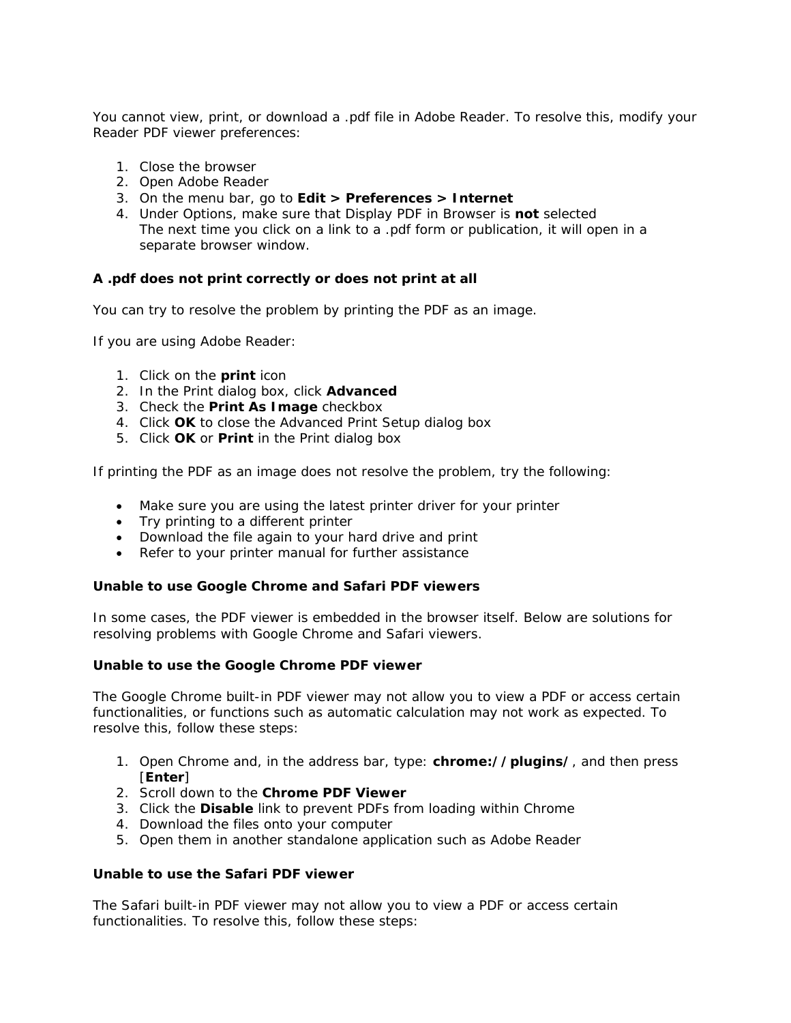You cannot view, print, or download a .pdf file in Adobe Reader. To resolve this, modify your Reader PDF viewer preferences:

- 1. Close the browser
- 2. Open Adobe Reader
- 3. On the menu bar, go to **Edit > Preferences > Internet**
- 4. Under Options, make sure that Display PDF in Browser is **not** selected The next time you click on a link to a .pdf form or publication, it will open in a separate browser window.

## **A .pdf does not print correctly or does not print at all**

You can try to resolve the problem by printing the PDF as an image.

If you are using Adobe Reader:

- 1. Click on the **print** icon
- 2. In the Print dialog box, click **Advanced**
- 3. Check the **Print As Image** checkbox
- 4. Click **OK** to close the Advanced Print Setup dialog box
- 5. Click **OK** or **Print** in the Print dialog box

If printing the PDF as an image does not resolve the problem, try the following:

- Make sure you are using the latest printer driver for your printer
- Try printing to a different printer
- Download the file again to your hard drive and print
- Refer to your printer manual for further assistance

### **Unable to use Google Chrome and Safari PDF viewers**

In some cases, the PDF viewer is embedded in the browser itself. Below are solutions for resolving problems with Google Chrome and Safari viewers.

### **Unable to use the Google Chrome PDF viewer**

The Google Chrome built-in PDF viewer may not allow you to view a PDF or access certain functionalities, or functions such as automatic calculation may not work as expected. To resolve this, follow these steps:

- 1. Open Chrome and, in the address bar, type: **chrome://plugins/**, and then press [**Enter**]
- 2. Scroll down to the **Chrome PDF Viewer**
- 3. Click the **Disable** link to prevent PDFs from loading within Chrome
- 4. Download the files onto your computer
- 5. Open them in another standalone application such as Adobe Reader

## **Unable to use the Safari PDF viewer**

The Safari built-in PDF viewer may not allow you to view a PDF or access certain functionalities. To resolve this, follow these steps: